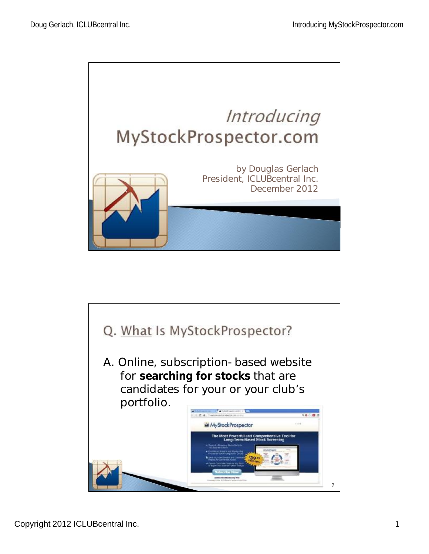

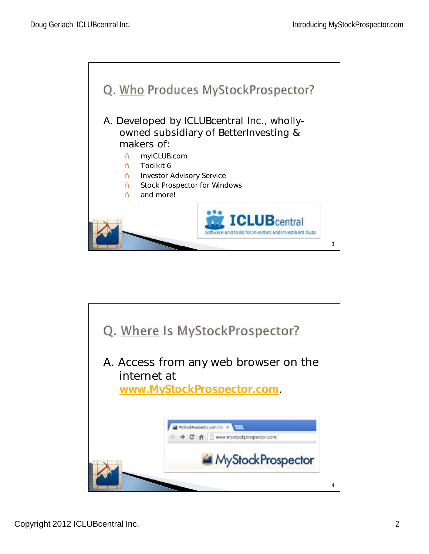

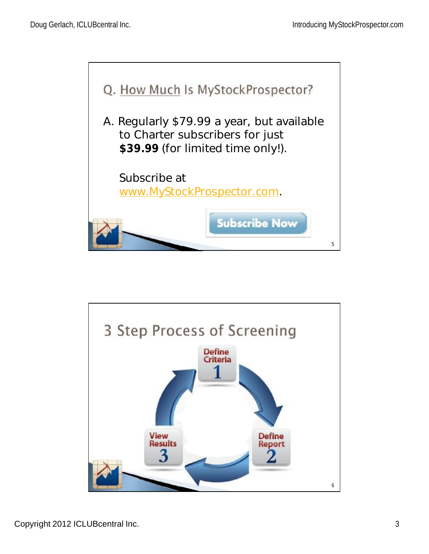

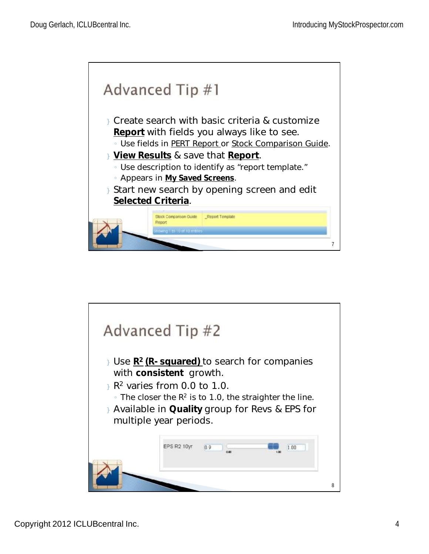

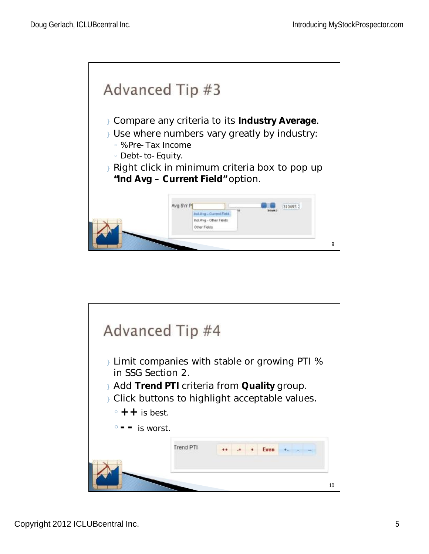

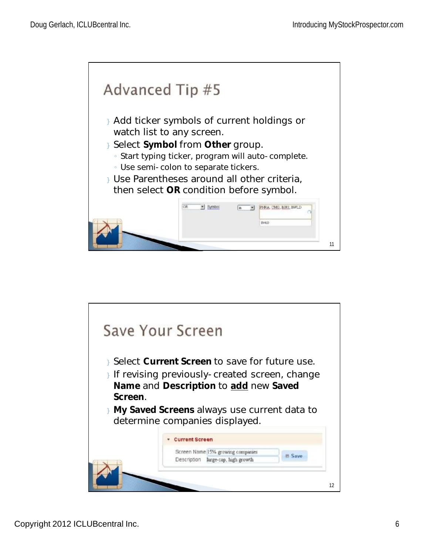